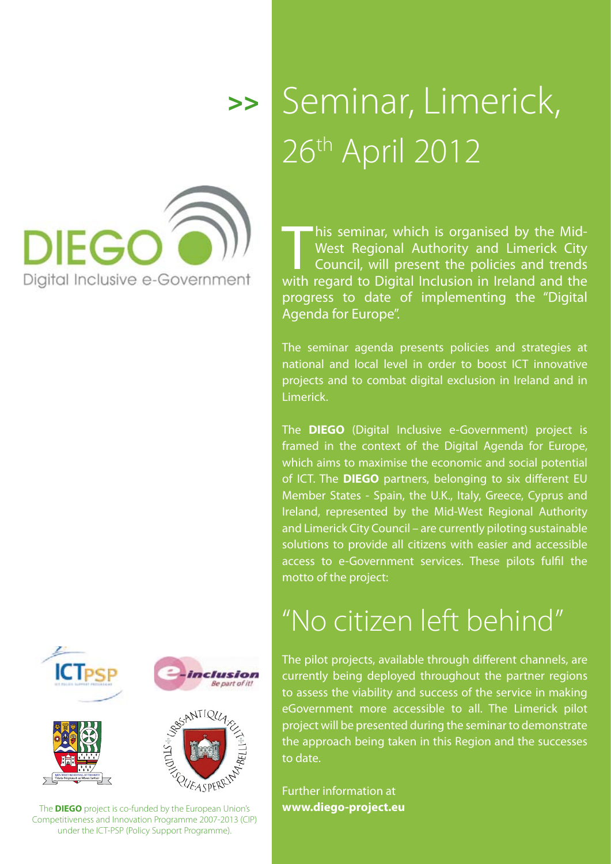

## Seminar, Limerick, 26th April 2012 >>

This seminar, which is organised by the Mid-<br>West Regional Authority and Limerick City<br>Council, will present the policies and trends<br>with regard to Digital Inclusion in Ireland and the West Regional Authority and Limerick City Council, will present the policies and trends with regard to Digital Inclusion in Ireland and the progress to date of implementing the "Digital Agenda for Europe".

The seminar agenda presents policies and strategies at national and local level in order to boost ICT innovative projects and to combat digital exclusion in Ireland and in Limerick.

The **DIEGO** (Digital Inclusive e-Government) project is framed in the context of the Digital Agenda for Europe, which aims to maximise the economic and social potential of ICT. The **DIEGO** partners, belonging to six different EU Member States - Spain, the U.K., Italy, Greece, Cyprus and Ireland, represented by the Mid-West Regional Authority and Limerick City Council – are currently piloting sustainable solutions to provide all citizens with easier and accessible access to e-Government services. These pilots fulfil the motto of the project:



## "No citizen left behind"

The pilot projects, available through different channels, are currently being deployed throughout the partner regions to assess the viability and success of the service in making eGovernment more accessible to all. The Limerick pilot project will be presented during the seminar to demonstrate the approach being taken in this Region and the successes to date.

Further information at **[www.diego-project.eu](http://www.diego-project.eu)** 

The **DIEGO** project is co-funded by the European Union's Competitiveness and Innovation Programme 2007-2013 (CIP) under the ICT-PSP (Policy Support Programme).